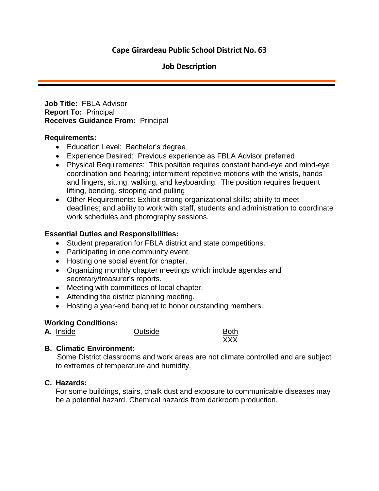# **Cape Girardeau Public School District No. 63**

## **Job Description**

**Job Title:** FBLA Advisor **Report To:** Principal **Receives Guidance From:** Principal

#### **Requirements:**

- Education Level: Bachelor's degree
- Experience Desired: Previous experience as FBLA Advisor preferred
- Physical Requirements: This position requires constant hand-eye and mind-eye coordination and hearing; intermittent repetitive motions with the wrists, hands and fingers, sitting, walking, and keyboarding. The position requires frequent lifting, bending, stooping and pulling
- Other Requirements: Exhibit strong organizational skills; ability to meet deadlines; and ability to work with staff, students and administration to coordinate work schedules and photography sessions.

#### **Essential Duties and Responsibilities:**

- Student preparation for FBLA district and state competitions.
- Participating in one community event.
- Hosting one social event for chapter.
- Organizing monthly chapter meetings which include agendas and secretary/treasurer's reports.
- Meeting with committees of local chapter.
- Attending the district planning meeting.
- Hosting a year-end banquet to honor outstanding members.

#### **Working Conditions:**

| Inside |
|--------|
|        |

**A.** Inside **A.** Outside Both

XXX

### **B. Climatic Environment:**

 Some District classrooms and work areas are not climate controlled and are subject to extremes of temperature and humidity.

#### **C. Hazards:**

For some buildings, stairs, chalk dust and exposure to communicable diseases may be a potential hazard. Chemical hazards from darkroom production.